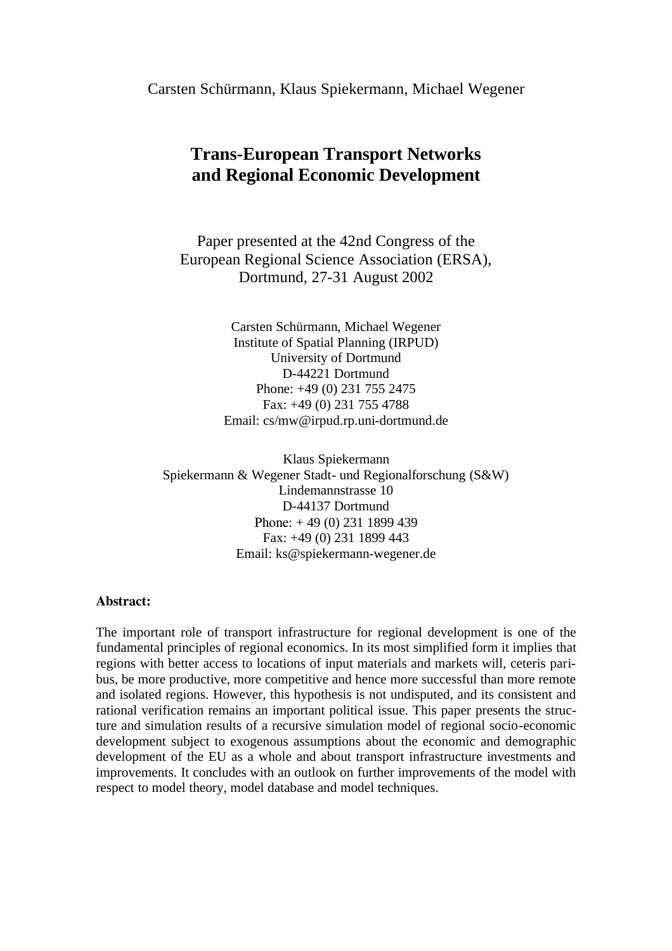Carsten Schürmann, Klaus Spiekermann, Michael Wegener

# **Trans-European Transport Networks and Regional Economic Development**

Paper presented at the 42nd Congress of the European Regional Science Association (ERSA), Dortmund, 27-31 August 2002

> Carsten Schürmann, Michael Wegener Institute of Spatial Planning (IRPUD) University of Dortmund D-44221 Dortmund Phone: +49 (0) 231 755 2475 Fax: +49 (0) 231 755 4788 Email: cs/mw@irpud.rp.uni-dortmund.de

Klaus Spiekermann Spiekermann & Wegener Stadt- und Regionalforschung (S&W) Lindemannstrasse 10 D-44137 Dortmund Phone: + 49 (0) 231 1899 439 Fax: +49 (0) 231 1899 443 Email: ks@spiekermann-wegener.de

#### **Abstract:**

The important role of transport infrastructure for regional development is one of the fundamental principles of regional economics. In its most simplified form it implies that regions with better access to locations of input materials and markets will, ceteris paribus, be more productive, more competitive and hence more successful than more remote and isolated regions. However, this hypothesis is not undisputed, and its consistent and rational verification remains an important political issue. This paper presents the structure and simulation results of a recursive simulation model of regional socio-economic development subject to exogenous assumptions about the economic and demographic development of the EU as a whole and about transport infrastructure investments and improvements. It concludes with an outlook on further improvements of the model with respect to model theory, model database and model techniques.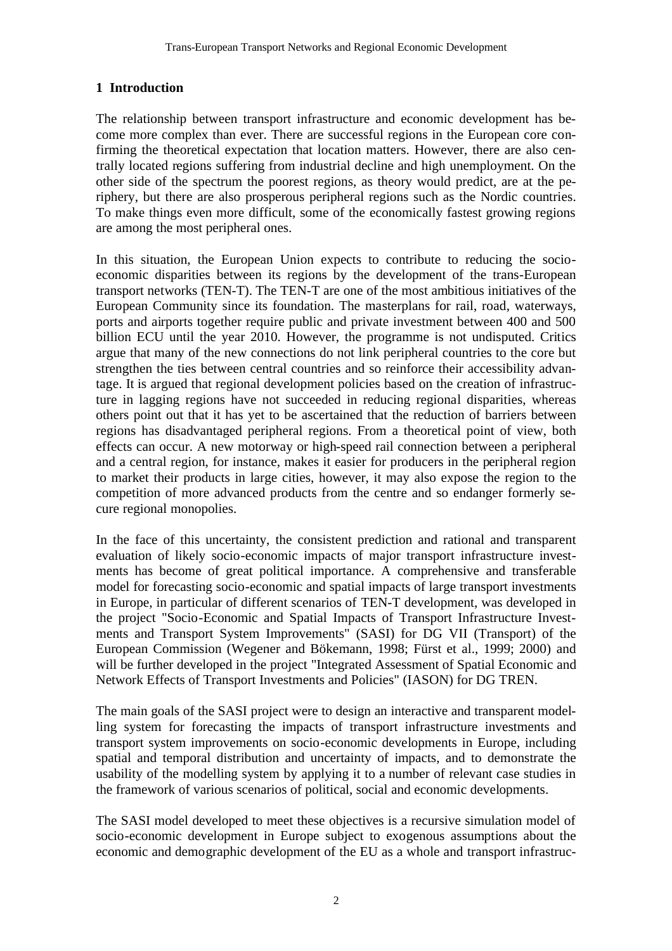# **1 Introduction**

The relationship between transport infrastructure and economic development has become more complex than ever. There are successful regions in the European core confirming the theoretical expectation that location matters. However, there are also centrally located regions suffering from industrial decline and high unemployment. On the other side of the spectrum the poorest regions, as theory would predict, are at the periphery, but there are also prosperous peripheral regions such as the Nordic countries. To make things even more difficult, some of the economically fastest growing regions are among the most peripheral ones.

In this situation, the European Union expects to contribute to reducing the socioeconomic disparities between its regions by the development of the trans-European transport networks (TEN-T). The TEN-T are one of the most ambitious initiatives of the European Community since its foundation. The masterplans for rail, road, waterways, ports and airports together require public and private investment between 400 and 500 billion ECU until the year 2010. However, the programme is not undisputed. Critics argue that many of the new connections do not link peripheral countries to the core but strengthen the ties between central countries and so reinforce their accessibility advantage. It is argued that regional development policies based on the creation of infrastructure in lagging regions have not succeeded in reducing regional disparities, whereas others point out that it has yet to be ascertained that the reduction of barriers between regions has disadvantaged peripheral regions. From a theoretical point of view, both effects can occur. A new motorway or high-speed rail connection between a peripheral and a central region, for instance, makes it easier for producers in the peripheral region to market their products in large cities, however, it may also expose the region to the competition of more advanced products from the centre and so endanger formerly secure regional monopolies.

In the face of this uncertainty, the consistent prediction and rational and transparent evaluation of likely socio-economic impacts of major transport infrastructure investments has become of great political importance. A comprehensive and transferable model for forecasting socio-economic and spatial impacts of large transport investments in Europe, in particular of different scenarios of TEN-T development, was developed in the project "Socio-Economic and Spatial Impacts of Transport Infrastructure Investments and Transport System Improvements" (SASI) for DG VII (Transport) of the European Commission (Wegener and Bökemann, 1998; Fürst et al., 1999; 2000) and will be further developed in the project "Integrated Assessment of Spatial Economic and Network Effects of Transport Investments and Policies" (IASON) for DG TREN.

The main goals of the SASI project were to design an interactive and transparent modelling system for forecasting the impacts of transport infrastructure investments and transport system improvements on socio-economic developments in Europe, including spatial and temporal distribution and uncertainty of impacts, and to demonstrate the usability of the modelling system by applying it to a number of relevant case studies in the framework of various scenarios of political, social and economic developments.

The SASI model developed to meet these objectives is a recursive simulation model of socio-economic development in Europe subject to exogenous assumptions about the economic and demographic development of the EU as a whole and transport infrastruc-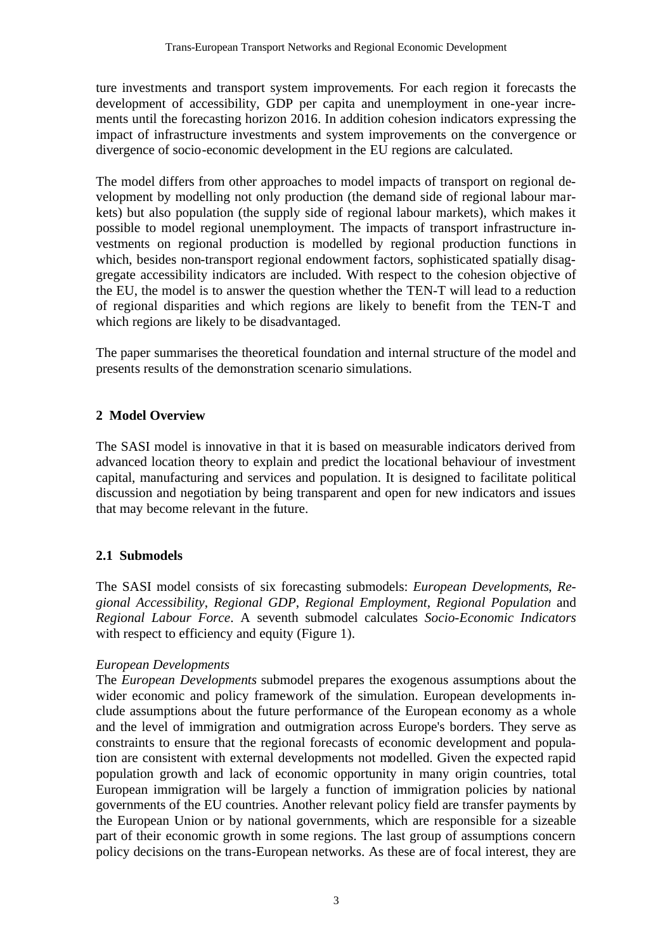ture investments and transport system improvements. For each region it forecasts the development of accessibility, GDP per capita and unemployment in one-year increments until the forecasting horizon 2016. In addition cohesion indicators expressing the impact of infrastructure investments and system improvements on the convergence or divergence of socio-economic development in the EU regions are calculated.

The model differs from other approaches to model impacts of transport on regional development by modelling not only production (the demand side of regional labour markets) but also population (the supply side of regional labour markets), which makes it possible to model regional unemployment. The impacts of transport infrastructure investments on regional production is modelled by regional production functions in which, besides non-transport regional endowment factors, sophisticated spatially disaggregate accessibility indicators are included. With respect to the cohesion objective of the EU, the model is to answer the question whether the TEN-T will lead to a reduction of regional disparities and which regions are likely to benefit from the TEN-T and which regions are likely to be disadvantaged.

The paper summarises the theoretical foundation and internal structure of the model and presents results of the demonstration scenario simulations.

#### **2 Model Overview**

The SASI model is innovative in that it is based on measurable indicators derived from advanced location theory to explain and predict the locational behaviour of investment capital, manufacturing and services and population. It is designed to facilitate political discussion and negotiation by being transparent and open for new indicators and issues that may become relevant in the future.

# **2.1 Submodels**

The SASI model consists of six forecasting submodels: *European Developments*, *Regional Accessibility*, *Regional GDP*, *Regional Employment*, *Regional Population* and *Regional Labour Force*. A seventh submodel calculates *Socio-Economic Indicators* with respect to efficiency and equity (Figure 1).

#### *European Developments*

The *European Developments* submodel prepares the exogenous assumptions about the wider economic and policy framework of the simulation. European developments include assumptions about the future performance of the European economy as a whole and the level of immigration and outmigration across Europe's borders. They serve as constraints to ensure that the regional forecasts of economic development and population are consistent with external developments not modelled. Given the expected rapid population growth and lack of economic opportunity in many origin countries, total European immigration will be largely a function of immigration policies by national governments of the EU countries. Another relevant policy field are transfer payments by the European Union or by national governments, which are responsible for a sizeable part of their economic growth in some regions. The last group of assumptions concern policy decisions on the trans-European networks. As these are of focal interest, they are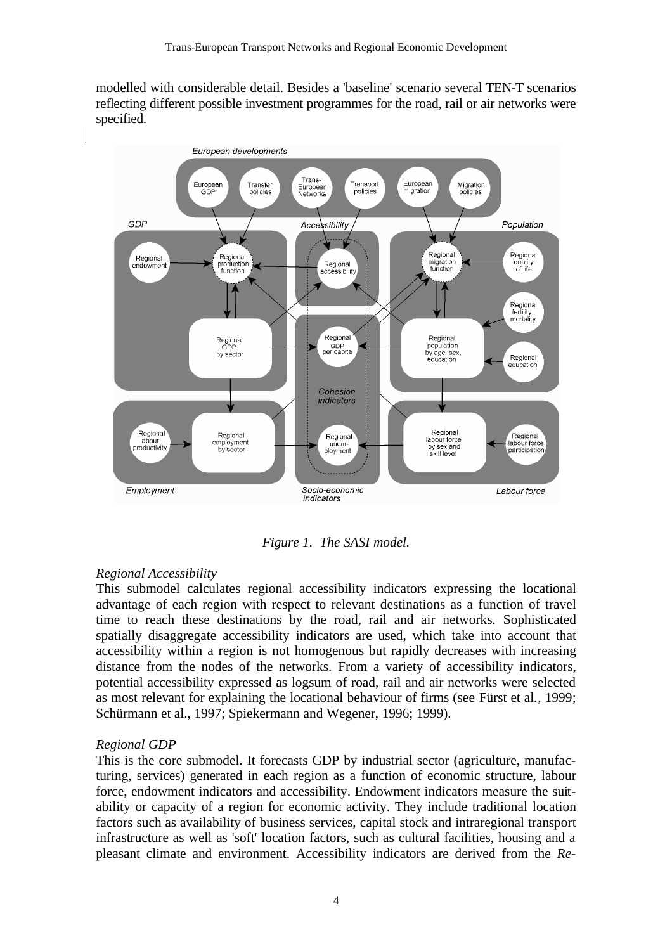modelled with considerable detail. Besides a 'baseline' scenario several TEN-T scenarios reflecting different possible investment programmes for the road, rail or air networks were specified.



*Figure 1. The SASI model.*

# *Regional Accessibility*

This submodel calculates regional accessibility indicators expressing the locational advantage of each region with respect to relevant destinations as a function of travel time to reach these destinations by the road, rail and air networks. Sophisticated spatially disaggregate accessibility indicators are used, which take into account that accessibility within a region is not homogenous but rapidly decreases with increasing distance from the nodes of the networks. From a variety of accessibility indicators, potential accessibility expressed as logsum of road, rail and air networks were selected as most relevant for explaining the locational behaviour of firms (see Fürst et al., 1999; Schürmann et al., 1997; Spiekermann and Wegener, 1996; 1999).

# *Regional GDP*

This is the core submodel. It forecasts GDP by industrial sector (agriculture, manufacturing, services) generated in each region as a function of economic structure, labour force, endowment indicators and accessibility. Endowment indicators measure the suitability or capacity of a region for economic activity. They include traditional location factors such as availability of business services, capital stock and intraregional transport infrastructure as well as 'soft' location factors, such as cultural facilities, housing and a pleasant climate and environment. Accessibility indicators are derived from the *Re-*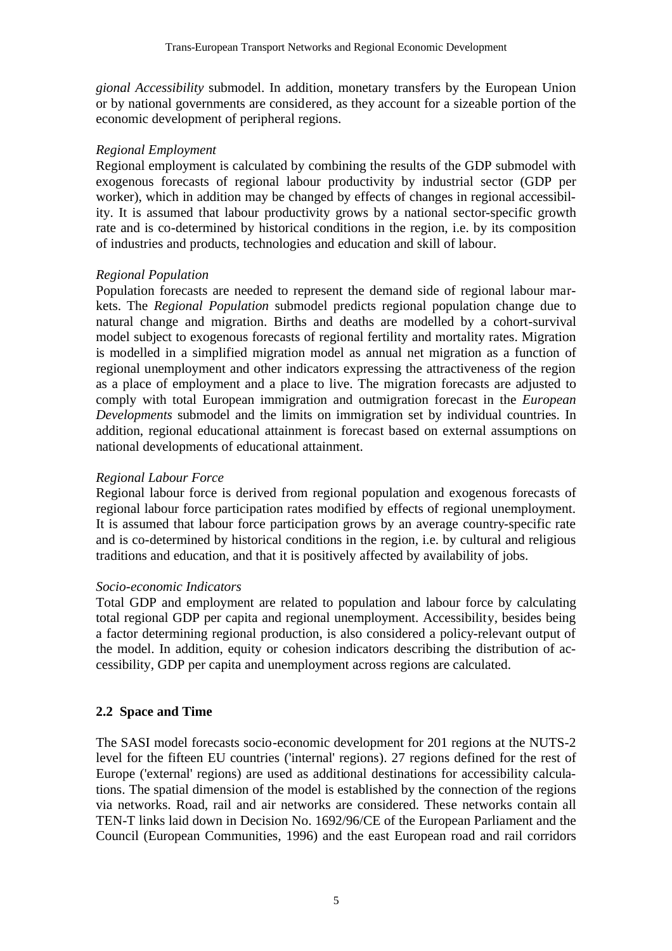*gional Accessibility* submodel. In addition, monetary transfers by the European Union or by national governments are considered, as they account for a sizeable portion of the economic development of peripheral regions.

#### *Regional Employment*

Regional employment is calculated by combining the results of the GDP submodel with exogenous forecasts of regional labour productivity by industrial sector (GDP per worker), which in addition may be changed by effects of changes in regional accessibility. It is assumed that labour productivity grows by a national sector-specific growth rate and is co-determined by historical conditions in the region, i.e. by its composition of industries and products, technologies and education and skill of labour.

# *Regional Population*

Population forecasts are needed to represent the demand side of regional labour markets. The *Regional Population* submodel predicts regional population change due to natural change and migration. Births and deaths are modelled by a cohort-survival model subject to exogenous forecasts of regional fertility and mortality rates. Migration is modelled in a simplified migration model as annual net migration as a function of regional unemployment and other indicators expressing the attractiveness of the region as a place of employment and a place to live. The migration forecasts are adjusted to comply with total European immigration and outmigration forecast in the *European Developments* submodel and the limits on immigration set by individual countries. In addition, regional educational attainment is forecast based on external assumptions on national developments of educational attainment.

# *Regional Labour Force*

Regional labour force is derived from regional population and exogenous forecasts of regional labour force participation rates modified by effects of regional unemployment. It is assumed that labour force participation grows by an average country-specific rate and is co-determined by historical conditions in the region, i.e. by cultural and religious traditions and education, and that it is positively affected by availability of jobs.

# *Socio-economic Indicators*

Total GDP and employment are related to population and labour force by calculating total regional GDP per capita and regional unemployment. Accessibility, besides being a factor determining regional production, is also considered a policy-relevant output of the model. In addition, equity or cohesion indicators describing the distribution of accessibility, GDP per capita and unemployment across regions are calculated.

# **2.2 Space and Time**

The SASI model forecasts socio-economic development for 201 regions at the NUTS-2 level for the fifteen EU countries ('internal' regions). 27 regions defined for the rest of Europe ('external' regions) are used as additional destinations for accessibility calculations. The spatial dimension of the model is established by the connection of the regions via networks. Road, rail and air networks are considered. These networks contain all TEN-T links laid down in Decision No. 1692/96/CE of the European Parliament and the Council (European Communities, 1996) and the east European road and rail corridors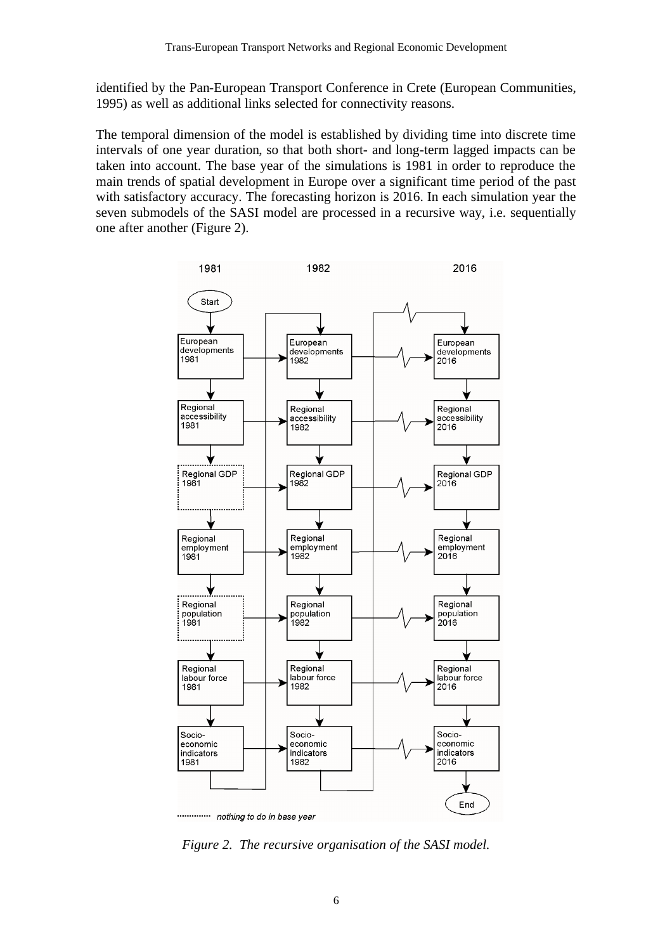identified by the Pan-European Transport Conference in Crete (European Communities, 1995) as well as additional links selected for connectivity reasons.

The temporal dimension of the model is established by dividing time into discrete time intervals of one year duration, so that both short- and long-term lagged impacts can be taken into account. The base year of the simulations is 1981 in order to reproduce the main trends of spatial development in Europe over a significant time period of the past with satisfactory accuracy. The forecasting horizon is 2016. In each simulation year the seven submodels of the SASI model are processed in a recursive way, i.e. sequentially one after another (Figure 2).



*Figure 2. The recursive organisation of the SASI model.*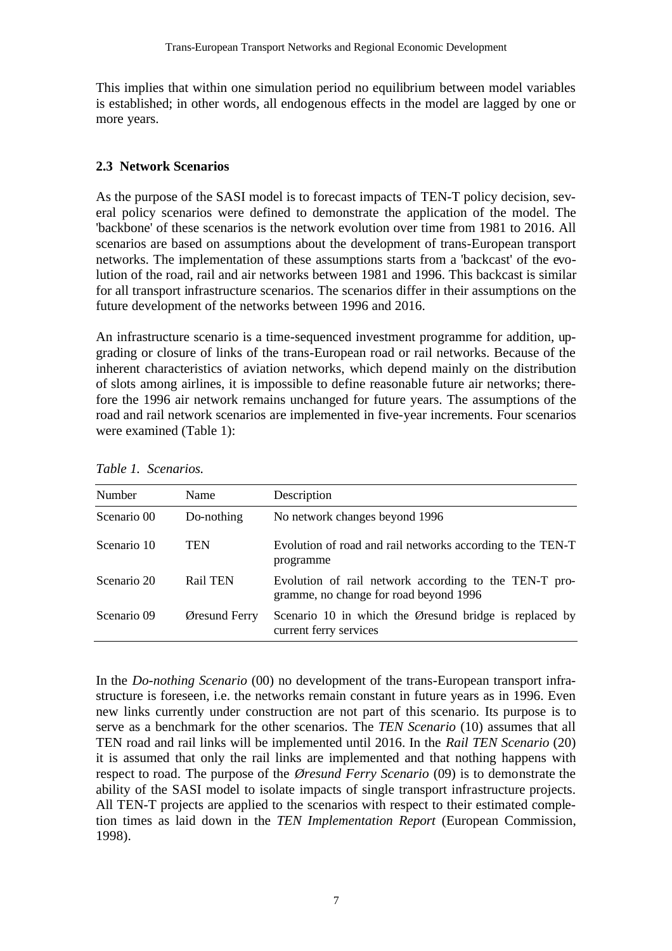This implies that within one simulation period no equilibrium between model variables is established; in other words, all endogenous effects in the model are lagged by one or more years.

#### **2.3 Network Scenarios**

As the purpose of the SASI model is to forecast impacts of TEN-T policy decision, several policy scenarios were defined to demonstrate the application of the model. The 'backbone' of these scenarios is the network evolution over time from 1981 to 2016. All scenarios are based on assumptions about the development of trans-European transport networks. The implementation of these assumptions starts from a 'backcast' of the evolution of the road, rail and air networks between 1981 and 1996. This backcast is similar for all transport infrastructure scenarios. The scenarios differ in their assumptions on the future development of the networks between 1996 and 2016.

An infrastructure scenario is a time-sequenced investment programme for addition, upgrading or closure of links of the trans-European road or rail networks. Because of the inherent characteristics of aviation networks, which depend mainly on the distribution of slots among airlines, it is impossible to define reasonable future air networks; therefore the 1996 air network remains unchanged for future years. The assumptions of the road and rail network scenarios are implemented in five-year increments. Four scenarios were examined (Table 1):

| <b>Number</b> | Name            | Description                                                                                     |
|---------------|-----------------|-------------------------------------------------------------------------------------------------|
| Scenario 00   | Do-nothing      | No network changes beyond 1996                                                                  |
| Scenario 10   | TEN             | Evolution of road and rail networks according to the TEN-T<br>programme                         |
| Scenario 20   | <b>Rail TEN</b> | Evolution of rail network according to the TEN-T pro-<br>gramme, no change for road beyond 1996 |
| Scenario 09   | Øresund Ferry   | Scenario 10 in which the Øresund bridge is replaced by<br>current ferry services                |

*Table 1. Scenarios.*

In the *Do-nothing Scenario* (00) no development of the trans-European transport infrastructure is foreseen, i.e. the networks remain constant in future years as in 1996. Even new links currently under construction are not part of this scenario. Its purpose is to serve as a benchmark for the other scenarios. The *TEN Scenario* (10) assumes that all TEN road and rail links will be implemented until 2016. In the *Rail TEN Scenario* (20) it is assumed that only the rail links are implemented and that nothing happens with respect to road. The purpose of the *Øresund Ferry Scenario* (09) is to demonstrate the ability of the SASI model to isolate impacts of single transport infrastructure projects. All TEN-T projects are applied to the scenarios with respect to their estimated completion times as laid down in the *TEN Implementation Report* (European Commission, 1998).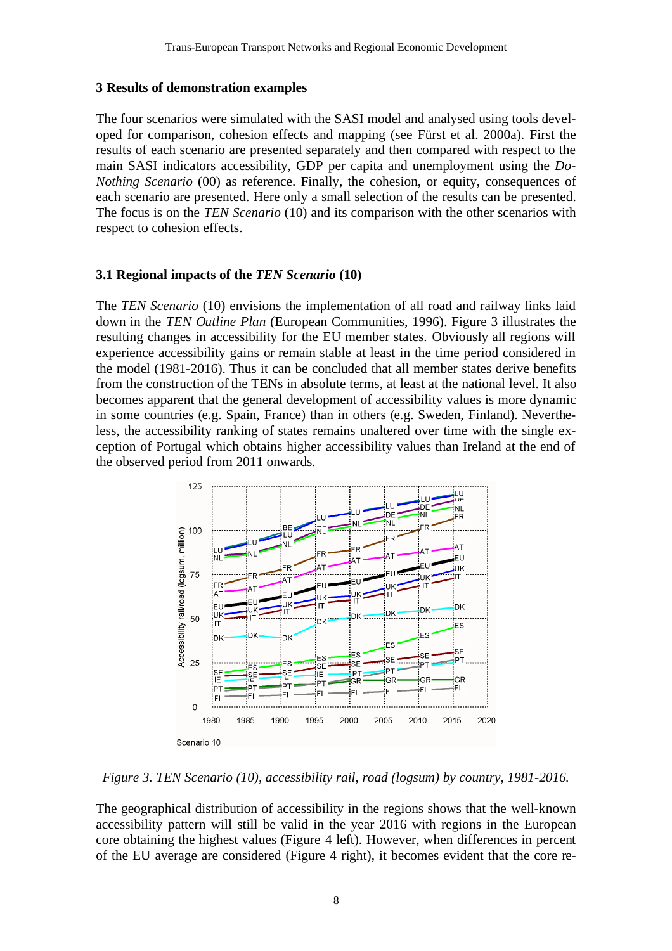#### **3 Results of demonstration examples**

The four scenarios were simulated with the SASI model and analysed using tools developed for comparison, cohesion effects and mapping (see Fürst et al. 2000a). First the results of each scenario are presented separately and then compared with respect to the main SASI indicators accessibility, GDP per capita and unemployment using the *Do-Nothing Scenario* (00) as reference. Finally, the cohesion, or equity, consequences of each scenario are presented. Here only a small selection of the results can be presented. The focus is on the *TEN Scenario* (10) and its comparison with the other scenarios with respect to cohesion effects.

#### **3.1 Regional impacts of the** *TEN Scenario* **(10)**

The *TEN Scenario* (10) envisions the implementation of all road and railway links laid down in the *TEN Outline Plan* (European Communities, 1996). Figure 3 illustrates the resulting changes in accessibility for the EU member states. Obviously all regions will experience accessibility gains or remain stable at least in the time period considered in the model (1981-2016). Thus it can be concluded that all member states derive benefits from the construction of the TENs in absolute terms, at least at the national level. It also becomes apparent that the general development of accessibility values is more dynamic in some countries (e.g. Spain, France) than in others (e.g. Sweden, Finland). Nevertheless, the accessibility ranking of states remains unaltered over time with the single exception of Portugal which obtains higher accessibility values than Ireland at the end of the observed period from 2011 onwards.



*Figure 3. TEN Scenario (10), accessibility rail, road (logsum) by country, 1981-2016.*

The geographical distribution of accessibility in the regions shows that the well-known accessibility pattern will still be valid in the year 2016 with regions in the European core obtaining the highest values (Figure 4 left). However, when differences in percent of the EU average are considered (Figure 4 right), it becomes evident that the core re-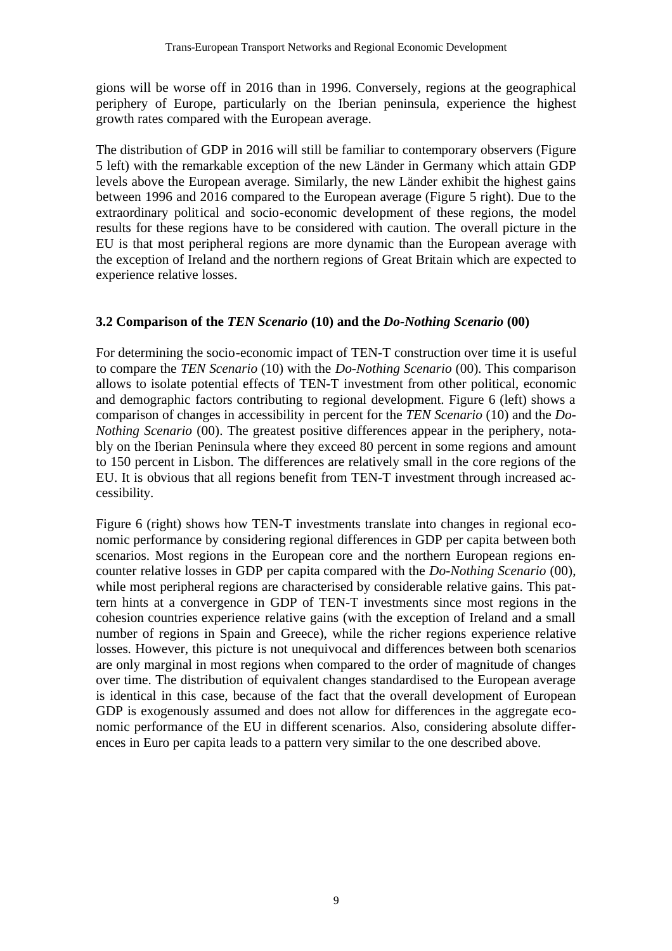gions will be worse off in 2016 than in 1996. Conversely, regions at the geographical periphery of Europe, particularly on the Iberian peninsula, experience the highest growth rates compared with the European average.

The distribution of GDP in 2016 will still be familiar to contemporary observers (Figure 5 left) with the remarkable exception of the new Länder in Germany which attain GDP levels above the European average. Similarly, the new Länder exhibit the highest gains between 1996 and 2016 compared to the European average (Figure 5 right). Due to the extraordinary political and socio-economic development of these regions, the model results for these regions have to be considered with caution. The overall picture in the EU is that most peripheral regions are more dynamic than the European average with the exception of Ireland and the northern regions of Great Britain which are expected to experience relative losses.

# **3.2 Comparison of the** *TEN Scenario* **(10) and the** *Do-Nothing Scenario* **(00)**

For determining the socio-economic impact of TEN-T construction over time it is useful to compare the *TEN Scenario* (10) with the *Do-Nothing Scenario* (00). This comparison allows to isolate potential effects of TEN-T investment from other political, economic and demographic factors contributing to regional development. Figure 6 (left) shows a comparison of changes in accessibility in percent for the *TEN Scenario* (10) and the *Do-Nothing Scenario* (00). The greatest positive differences appear in the periphery, notably on the Iberian Peninsula where they exceed 80 percent in some regions and amount to 150 percent in Lisbon. The differences are relatively small in the core regions of the EU. It is obvious that all regions benefit from TEN-T investment through increased accessibility.

Figure 6 (right) shows how TEN-T investments translate into changes in regional economic performance by considering regional differences in GDP per capita between both scenarios. Most regions in the European core and the northern European regions encounter relative losses in GDP per capita compared with the *Do-Nothing Scenario* (00), while most peripheral regions are characterised by considerable relative gains. This pattern hints at a convergence in GDP of TEN-T investments since most regions in the cohesion countries experience relative gains (with the exception of Ireland and a small number of regions in Spain and Greece), while the richer regions experience relative losses. However, this picture is not unequivocal and differences between both scenarios are only marginal in most regions when compared to the order of magnitude of changes over time. The distribution of equivalent changes standardised to the European average is identical in this case, because of the fact that the overall development of European GDP is exogenously assumed and does not allow for differences in the aggregate economic performance of the EU in different scenarios. Also, considering absolute differences in Euro per capita leads to a pattern very similar to the one described above.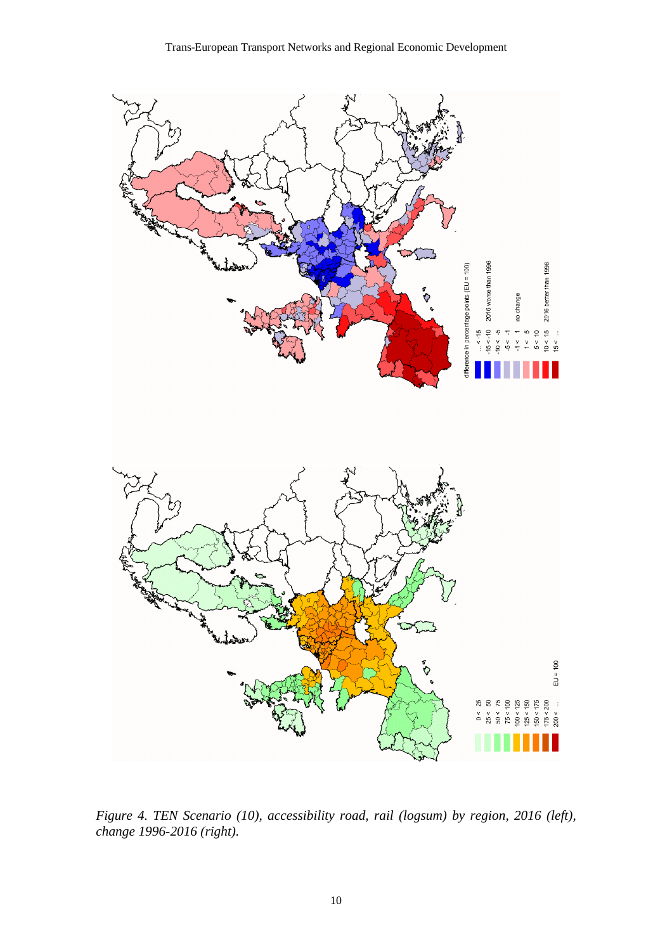

*Figure 4. TEN Scenario (10), accessibility road, rail (logsum) by region, 2016 (left), change 1996-2016 (right).*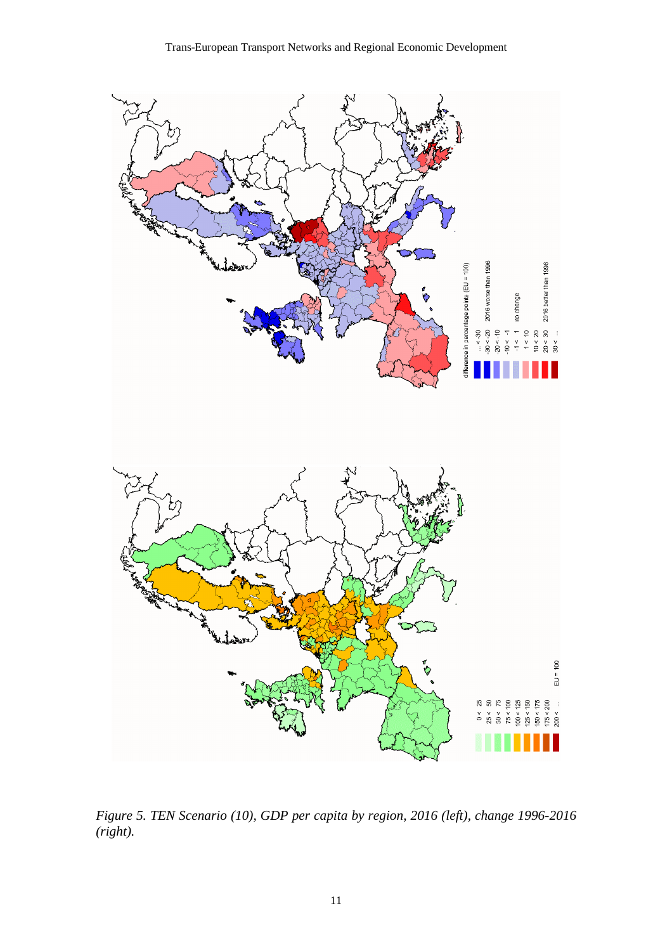

*Figure 5. TEN Scenario (10), GDP per capita by region, 2016 (left), change 1996-2016 (right).*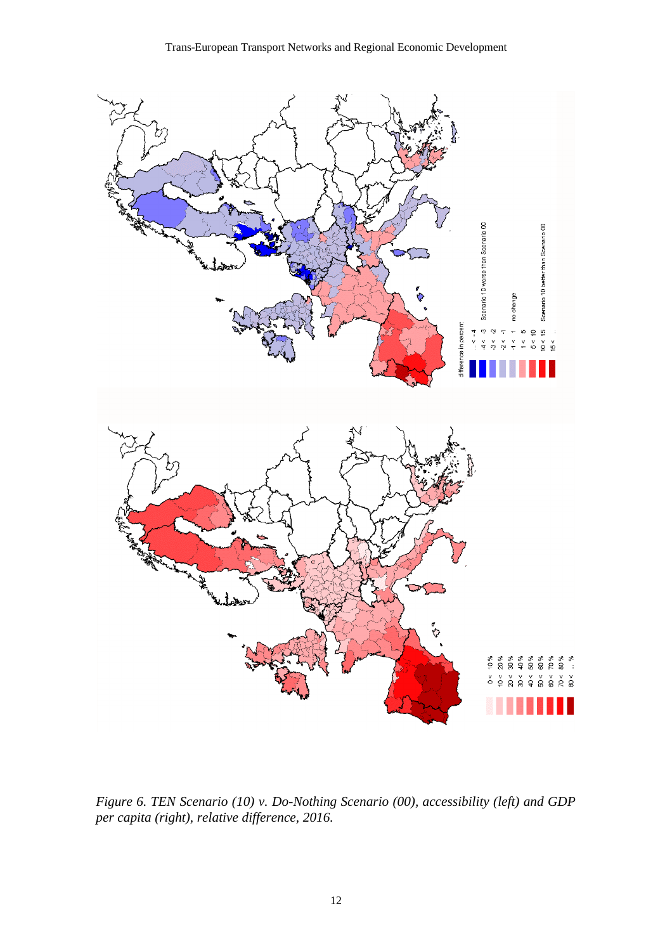

*Figure 6. TEN Scenario (10) v. Do-Nothing Scenario (00), accessibility (left) and GDP per capita (right), relative difference, 2016.*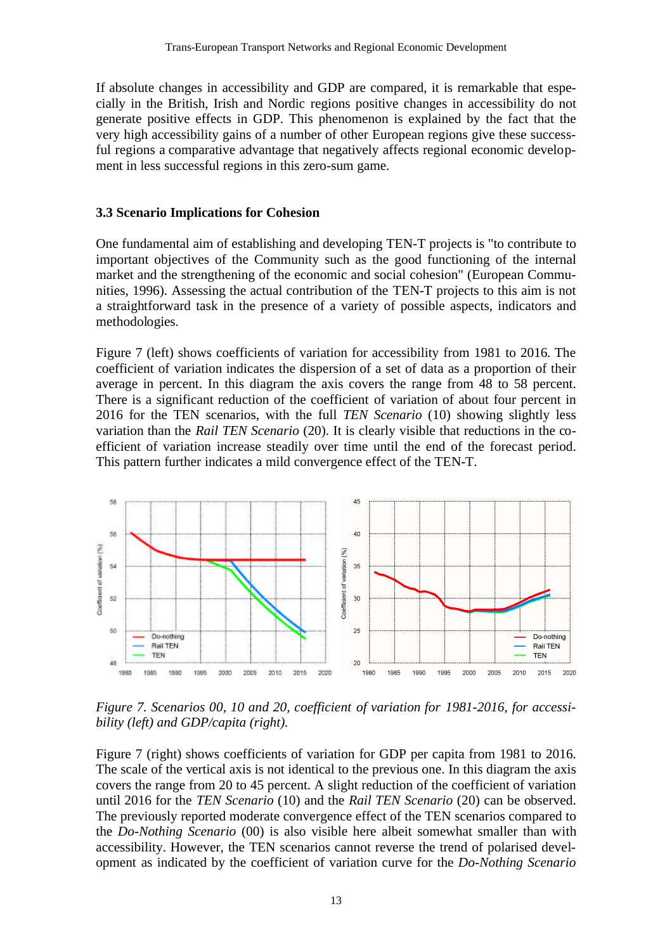If absolute changes in accessibility and GDP are compared, it is remarkable that especially in the British, Irish and Nordic regions positive changes in accessibility do not generate positive effects in GDP. This phenomenon is explained by the fact that the very high accessibility gains of a number of other European regions give these successful regions a comparative advantage that negatively affects regional economic development in less successful regions in this zero-sum game.

#### **3.3 Scenario Implications for Cohesion**

One fundamental aim of establishing and developing TEN-T projects is "to contribute to important objectives of the Community such as the good functioning of the internal market and the strengthening of the economic and social cohesion" (European Communities, 1996). Assessing the actual contribution of the TEN-T projects to this aim is not a straightforward task in the presence of a variety of possible aspects, indicators and methodologies.

Figure 7 (left) shows coefficients of variation for accessibility from 1981 to 2016. The coefficient of variation indicates the dispersion of a set of data as a proportion of their average in percent. In this diagram the axis covers the range from 48 to 58 percent. There is a significant reduction of the coefficient of variation of about four percent in 2016 for the TEN scenarios, with the full *TEN Scenario* (10) showing slightly less variation than the *Rail TEN Scenario* (20). It is clearly visible that reductions in the coefficient of variation increase steadily over time until the end of the forecast period. This pattern further indicates a mild convergence effect of the TEN-T.



*Figure 7. Scenarios 00, 10 and 20, coefficient of variation for 1981-2016, for accessibility (left) and GDP/capita (right).*

Figure 7 (right) shows coefficients of variation for GDP per capita from 1981 to 2016. The scale of the vertical axis is not identical to the previous one. In this diagram the axis covers the range from 20 to 45 percent. A slight reduction of the coefficient of variation until 2016 for the *TEN Scenario* (10) and the *Rail TEN Scenario* (20) can be observed. The previously reported moderate convergence effect of the TEN scenarios compared to the *Do-Nothing Scenario* (00) is also visible here albeit somewhat smaller than with accessibility. However, the TEN scenarios cannot reverse the trend of polarised development as indicated by the coefficient of variation curve for the *Do-Nothing Scenario*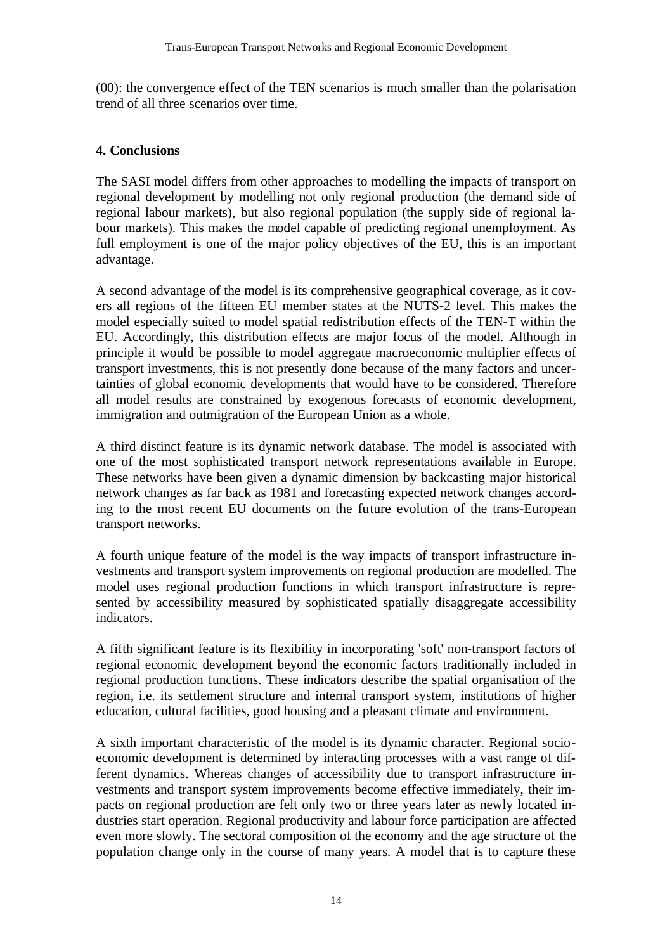(00): the convergence effect of the TEN scenarios is much smaller than the polarisation trend of all three scenarios over time.

#### **4. Conclusions**

The SASI model differs from other approaches to modelling the impacts of transport on regional development by modelling not only regional production (the demand side of regional labour markets), but also regional population (the supply side of regional labour markets). This makes the model capable of predicting regional unemployment. As full employment is one of the major policy objectives of the EU, this is an important advantage.

A second advantage of the model is its comprehensive geographical coverage, as it covers all regions of the fifteen EU member states at the NUTS-2 level. This makes the model especially suited to model spatial redistribution effects of the TEN-T within the EU. Accordingly, this distribution effects are major focus of the model. Although in principle it would be possible to model aggregate macroeconomic multiplier effects of transport investments, this is not presently done because of the many factors and uncertainties of global economic developments that would have to be considered. Therefore all model results are constrained by exogenous forecasts of economic development, immigration and outmigration of the European Union as a whole.

A third distinct feature is its dynamic network database. The model is associated with one of the most sophisticated transport network representations available in Europe. These networks have been given a dynamic dimension by backcasting major historical network changes as far back as 1981 and forecasting expected network changes according to the most recent EU documents on the future evolution of the trans-European transport networks.

A fourth unique feature of the model is the way impacts of transport infrastructure investments and transport system improvements on regional production are modelled. The model uses regional production functions in which transport infrastructure is represented by accessibility measured by sophisticated spatially disaggregate accessibility indicators.

A fifth significant feature is its flexibility in incorporating 'soft' non-transport factors of regional economic development beyond the economic factors traditionally included in regional production functions. These indicators describe the spatial organisation of the region, i.e. its settlement structure and internal transport system, institutions of higher education, cultural facilities, good housing and a pleasant climate and environment.

A sixth important characteristic of the model is its dynamic character. Regional socioeconomic development is determined by interacting processes with a vast range of different dynamics. Whereas changes of accessibility due to transport infrastructure investments and transport system improvements become effective immediately, their impacts on regional production are felt only two or three years later as newly located industries start operation. Regional productivity and labour force participation are affected even more slowly. The sectoral composition of the economy and the age structure of the population change only in the course of many years. A model that is to capture these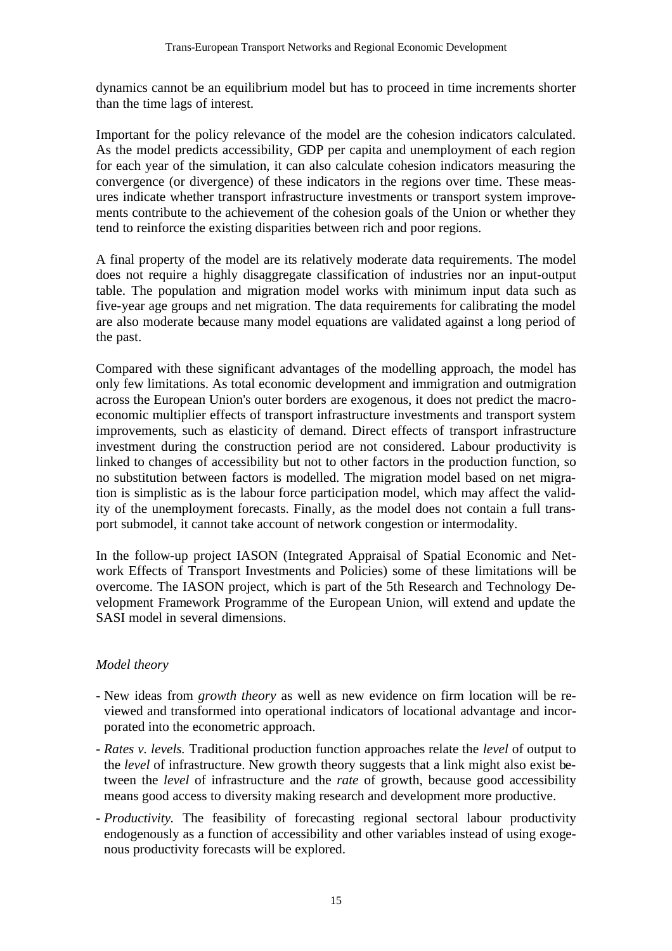dynamics cannot be an equilibrium model but has to proceed in time increments shorter than the time lags of interest.

Important for the policy relevance of the model are the cohesion indicators calculated. As the model predicts accessibility, GDP per capita and unemployment of each region for each year of the simulation, it can also calculate cohesion indicators measuring the convergence (or divergence) of these indicators in the regions over time. These measures indicate whether transport infrastructure investments or transport system improvements contribute to the achievement of the cohesion goals of the Union or whether they tend to reinforce the existing disparities between rich and poor regions.

A final property of the model are its relatively moderate data requirements. The model does not require a highly disaggregate classification of industries nor an input-output table. The population and migration model works with minimum input data such as five-year age groups and net migration. The data requirements for calibrating the model are also moderate because many model equations are validated against a long period of the past.

Compared with these significant advantages of the modelling approach, the model has only few limitations. As total economic development and immigration and outmigration across the European Union's outer borders are exogenous, it does not predict the macroeconomic multiplier effects of transport infrastructure investments and transport system improvements, such as elasticity of demand. Direct effects of transport infrastructure investment during the construction period are not considered. Labour productivity is linked to changes of accessibility but not to other factors in the production function, so no substitution between factors is modelled. The migration model based on net migration is simplistic as is the labour force participation model, which may affect the validity of the unemployment forecasts. Finally, as the model does not contain a full transport submodel, it cannot take account of network congestion or intermodality.

In the follow-up project IASON (Integrated Appraisal of Spatial Economic and Network Effects of Transport Investments and Policies) some of these limitations will be overcome. The IASON project, which is part of the 5th Research and Technology Development Framework Programme of the European Union, will extend and update the SASI model in several dimensions.

# *Model theory*

- New ideas from *growth theory* as well as new evidence on firm location will be reviewed and transformed into operational indicators of locational advantage and incorporated into the econometric approach.
- *Rates v. levels.* Traditional production function approaches relate the *level* of output to the *level* of infrastructure. New growth theory suggests that a link might also exist between the *level* of infrastructure and the *rate* of growth, because good accessibility means good access to diversity making research and development more productive.
- *Productivity.* The feasibility of forecasting regional sectoral labour productivity endogenously as a function of accessibility and other variables instead of using exogenous productivity forecasts will be explored.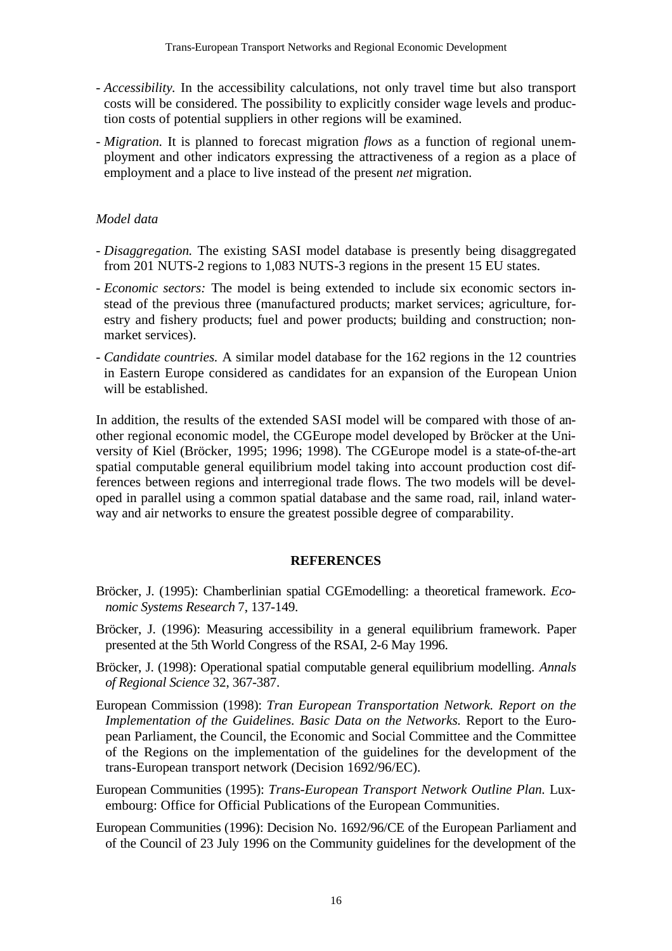- *Accessibility.* In the accessibility calculations, not only travel time but also transport costs will be considered. The possibility to explicitly consider wage levels and production costs of potential suppliers in other regions will be examined.
- *Migration.* It is planned to forecast migration *flows* as a function of regional unemployment and other indicators expressing the attractiveness of a region as a place of employment and a place to live instead of the present *net* migration.

#### *Model data*

- *Disaggregation.* The existing SASI model database is presently being disaggregated from 201 NUTS-2 regions to 1,083 NUTS-3 regions in the present 15 EU states.
- *Economic sectors:* The model is being extended to include six economic sectors instead of the previous three (manufactured products; market services; agriculture, forestry and fishery products; fuel and power products; building and construction; nonmarket services).
- *Candidate countries.* A similar model database for the 162 regions in the 12 countries in Eastern Europe considered as candidates for an expansion of the European Union will be established.

In addition, the results of the extended SASI model will be compared with those of another regional economic model, the CGEurope model developed by Bröcker at the University of Kiel (Bröcker, 1995; 1996; 1998). The CGEurope model is a state-of-the-art spatial computable general equilibrium model taking into account production cost differences between regions and interregional trade flows. The two models will be developed in parallel using a common spatial database and the same road, rail, inland waterway and air networks to ensure the greatest possible degree of comparability.

#### **REFERENCES**

- Bröcker, J. (1995): Chamberlinian spatial CGEmodelling: a theoretical framework. *Economic Systems Research* 7, 137-149.
- Bröcker, J. (1996): Measuring accessibility in a general equilibrium framework. Paper presented at the 5th World Congress of the RSAI, 2-6 May 1996.
- Bröcker, J. (1998): Operational spatial computable general equilibrium modelling. *Annals of Regional Science* 32, 367-387.
- European Commission (1998): *Tran European Transportation Network. Report on the Implementation of the Guidelines. Basic Data on the Networks.* Report to the European Parliament, the Council, the Economic and Social Committee and the Committee of the Regions on the implementation of the guidelines for the development of the trans-European transport network (Decision 1692/96/EC).
- European Communities (1995): *Trans-European Transport Network Outline Plan.* Luxembourg: Office for Official Publications of the European Communities.
- European Communities (1996): Decision No. 1692/96/CE of the European Parliament and of the Council of 23 July 1996 on the Community guidelines for the development of the